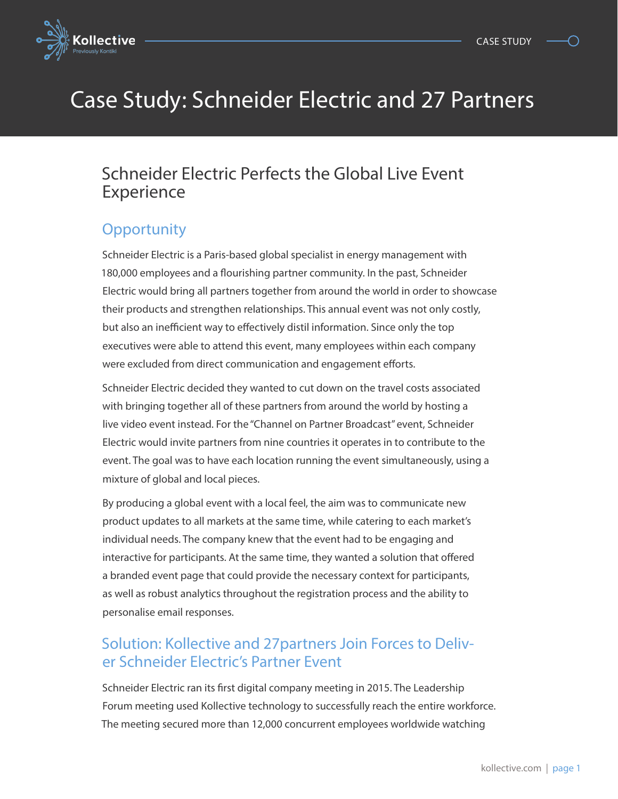

# Case Study: Schneider Electric and 27 Partners

### Schneider Electric Perfects the Global Live Event **Experience**

## **Opportunity**

Schneider Electric is a Paris-based global specialist in energy management with 180,000 employees and a flourishing partner community. In the past, Schneider Electric would bring all partners together from around the world in order to showcase their products and strengthen relationships. This annual event was not only costly, but also an inefficient way to effectively distil information. Since only the top executives were able to attend this event, many employees within each company were excluded from direct communication and engagement efforts.

Schneider Electric decided they wanted to cut down on the travel costs associated with bringing together all of these partners from around the world by hosting a live video event instead. For the "Channel on Partner Broadcast" event, Schneider Electric would invite partners from nine countries it operates in to contribute to the event. The goal was to have each location running the event simultaneously, using a mixture of global and local pieces.

By producing a global event with a local feel, the aim was to communicate new product updates to all markets at the same time, while catering to each market's individual needs. The company knew that the event had to be engaging and interactive for participants. At the same time, they wanted a solution that offered a branded event page that could provide the necessary context for participants, as well as robust analytics throughout the registration process and the ability to personalise email responses.

#### Solution: Kollective and 27partners Join Forces to Deliver Schneider Electric's Partner Event

Schneider Electric ran its first digital company meeting in 2015. The Leadership Forum meeting used Kollective technology to successfully reach the entire workforce. The meeting secured more than 12,000 concurrent employees worldwide watching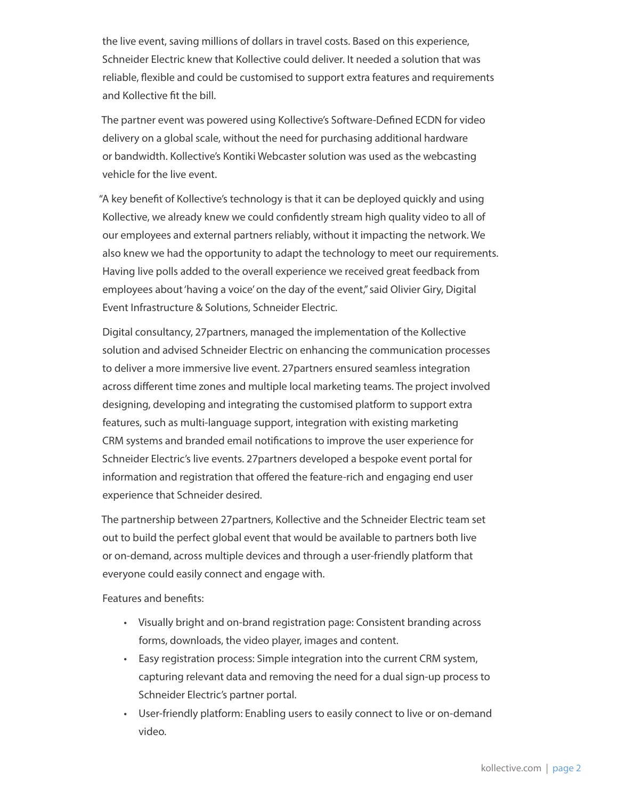the live event, saving millions of dollars in travel costs. Based on this experience, Schneider Electric knew that Kollective could deliver. It needed a solution that was reliable, flexible and could be customised to support extra features and requirements and Kollective fit the bill.

The partner event was powered using Kollective's Software-Defined ECDN for video delivery on a global scale, without the need for purchasing additional hardware or bandwidth. Kollective's Kontiki Webcaster solution was used as the webcasting vehicle for the live event.

"A key benefit of Kollective's technology is that it can be deployed quickly and using Kollective, we already knew we could confidently stream high quality video to all of our employees and external partners reliably, without it impacting the network. We also knew we had the opportunity to adapt the technology to meet our requirements. Having live polls added to the overall experience we received great feedback from employees about 'having a voice' on the day of the event," said Olivier Giry, Digital Event Infrastructure & Solutions, Schneider Electric.

Digital consultancy, 27partners, managed the implementation of the Kollective solution and advised Schneider Electric on enhancing the communication processes to deliver a more immersive live event. 27partners ensured seamless integration across different time zones and multiple local marketing teams. The project involved designing, developing and integrating the customised platform to support extra features, such as multi-language support, integration with existing marketing CRM systems and branded email notifications to improve the user experience for Schneider Electric's live events. 27partners developed a bespoke event portal for information and registration that offered the feature-rich and engaging end user experience that Schneider desired.

The partnership between 27partners, Kollective and the Schneider Electric team set out to build the perfect global event that would be available to partners both live or on-demand, across multiple devices and through a user-friendly platform that everyone could easily connect and engage with.

Features and benefits:

- Visually bright and on-brand registration page: Consistent branding across forms, downloads, the video player, images and content.
- Easy registration process: Simple integration into the current CRM system, capturing relevant data and removing the need for a dual sign-up process to Schneider Electric's partner portal.
- User-friendly platform: Enabling users to easily connect to live or on-demand video.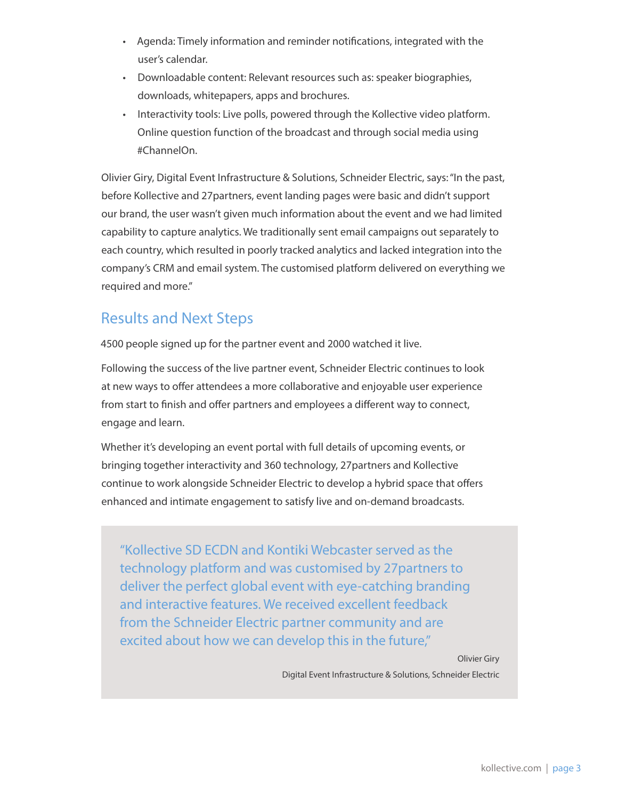- Agenda: Timely information and reminder notifications, integrated with the user's calendar.
- Downloadable content: Relevant resources such as: speaker biographies, downloads, whitepapers, apps and brochures.
- Interactivity tools: Live polls, powered through the Kollective video platform. Online question function of the broadcast and through social media using #ChannelOn.

Olivier Giry, Digital Event Infrastructure & Solutions, Schneider Electric, says: "In the past, before Kollective and 27partners, event landing pages were basic and didn't support our brand, the user wasn't given much information about the event and we had limited capability to capture analytics. We traditionally sent email campaigns out separately to each country, which resulted in poorly tracked analytics and lacked integration into the company's CRM and email system. The customised platform delivered on everything we required and more."

#### Results and Next Steps

4500 people signed up for the partner event and 2000 watched it live.

Following the success of the live partner event, Schneider Electric continues to look at new ways to offer attendees a more collaborative and enjoyable user experience from start to finish and offer partners and employees a different way to connect, engage and learn.

Whether it's developing an event portal with full details of upcoming events, or bringing together interactivity and 360 technology, 27partners and Kollective continue to work alongside Schneider Electric to develop a hybrid space that offers enhanced and intimate engagement to satisfy live and on-demand broadcasts.

"Kollective SD ECDN and Kontiki Webcaster served as the technology platform and was customised by 27partners to deliver the perfect global event with eye-catching branding and interactive features. We received excellent feedback from the Schneider Electric partner community and are excited about how we can develop this in the future,"

Olivier Giry

Digital Event Infrastructure & Solutions, Schneider Electric